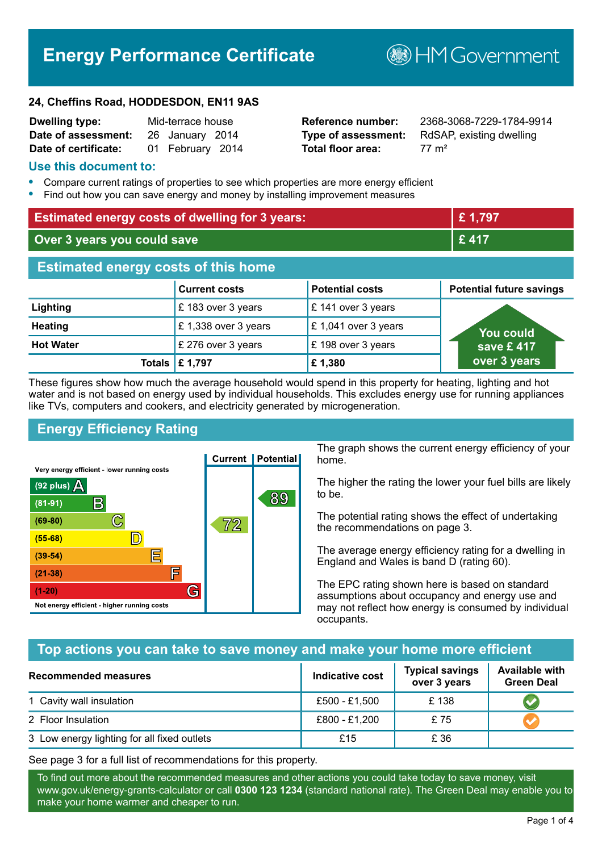# **Energy Performance Certificate**

**B**HM Government

#### **24, Cheffins Road, HODDESDON, EN11 9AS**

| <b>Dwelling type:</b> | Mid-terrace house |                  |  |
|-----------------------|-------------------|------------------|--|
| Date of assessment:   |                   | 26 January 2014  |  |
| Date of certificate:  |                   | 01 February 2014 |  |

**Total floor area:** 77 m<sup>2</sup>

**Reference number:** 2368-3068-7229-1784-9914 **Type of assessment:** RdSAP, existing dwelling

#### **Use this document to:**

- **•** Compare current ratings of properties to see which properties are more energy efficient
- **•** Find out how you can save energy and money by installing improvement measures

| <b>Estimated energy costs of dwelling for 3 years:</b> |                           |                        | £1,797                          |
|--------------------------------------------------------|---------------------------|------------------------|---------------------------------|
| Over 3 years you could save                            |                           |                        | £417                            |
| <b>Estimated energy costs of this home</b>             |                           |                        |                                 |
|                                                        | <b>Current costs</b>      | <b>Potential costs</b> | <b>Potential future savings</b> |
| Lighting                                               | £183 over 3 years         | £ 141 over 3 years     |                                 |
| <b>Heating</b>                                         | £1,338 over 3 years       | £1,041 over 3 years    | <b>You could</b>                |
| <b>Hot Water</b>                                       | £ 276 over 3 years        | £198 over 3 years      | save £ 417 $\overline{ }$       |
|                                                        | Totals $\mathsf{E}$ 1,797 | £1,380                 | over 3 years                    |

These figures show how much the average household would spend in this property for heating, lighting and hot water and is not based on energy used by individual households. This excludes energy use for running appliances like TVs, computers and cookers, and electricity generated by microgeneration.

## **Energy Efficiency Rating**



The graph shows the current energy efficiency of your home.

The higher the rating the lower your fuel bills are likely to be.

The potential rating shows the effect of undertaking the recommendations on page 3.

The average energy efficiency rating for a dwelling in England and Wales is band D (rating 60).

The EPC rating shown here is based on standard assumptions about occupancy and energy use and may not reflect how energy is consumed by individual occupants.

## **Top actions you can take to save money and make your home more efficient**

| <b>Recommended measures</b>                 | Indicative cost | <b>Typical savings</b><br>over 3 years | <b>Available with</b><br><b>Green Deal</b> |
|---------------------------------------------|-----------------|----------------------------------------|--------------------------------------------|
| 1 Cavity wall insulation                    | £500 - £1,500   | £138                                   |                                            |
| 2 Floor Insulation                          | £800 - £1,200   | £75                                    |                                            |
| 3 Low energy lighting for all fixed outlets | £15             | £ 36                                   |                                            |

See page 3 for a full list of recommendations for this property.

To find out more about the recommended measures and other actions you could take today to save money, visit www.gov.uk/energy-grants-calculator or call **0300 123 1234** (standard national rate). The Green Deal may enable you to make your home warmer and cheaper to run.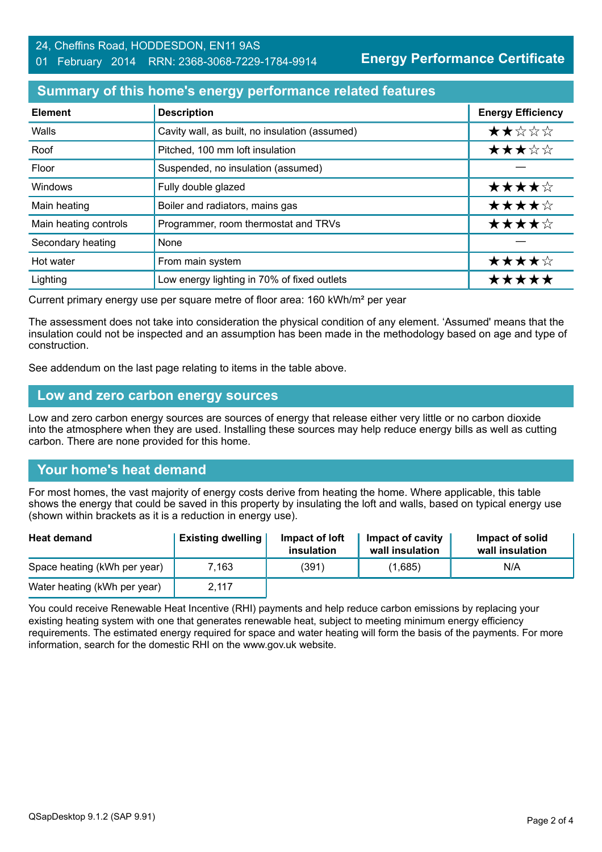#### 24, Cheffins Road, HODDESDON, EN11 9AS 01 February 2014 RRN: 2368-3068-7229-1784-9914

**Energy Performance Certificate**

## **Summary of this home's energy performance related features**

| <b>Element</b>        | <b>Description</b>                             | <b>Energy Efficiency</b> |
|-----------------------|------------------------------------------------|--------------------------|
| Walls                 | Cavity wall, as built, no insulation (assumed) | ★★☆☆☆                    |
| Roof                  | Pitched, 100 mm loft insulation                | ★★★☆☆                    |
| Floor                 | Suspended, no insulation (assumed)             |                          |
| Windows               | Fully double glazed                            | ★★★★☆                    |
| Main heating          | Boiler and radiators, mains gas                | ★★★★☆                    |
| Main heating controls | Programmer, room thermostat and TRVs           | ★★★★☆                    |
| Secondary heating     | None                                           |                          |
| Hot water             | From main system                               | ★★★★☆                    |
| Lighting              | Low energy lighting in 70% of fixed outlets    | ***                      |

Current primary energy use per square metre of floor area: 160 kWh/m² per year

The assessment does not take into consideration the physical condition of any element. 'Assumed' means that the insulation could not be inspected and an assumption has been made in the methodology based on age and type of construction.

See addendum on the last page relating to items in the table above.

#### **Low and zero carbon energy sources**

Low and zero carbon energy sources are sources of energy that release either very little or no carbon dioxide into the atmosphere when they are used. Installing these sources may help reduce energy bills as well as cutting carbon. There are none provided for this home.

## **Your home's heat demand**

For most homes, the vast majority of energy costs derive from heating the home. Where applicable, this table shows the energy that could be saved in this property by insulating the loft and walls, based on typical energy use (shown within brackets as it is a reduction in energy use).

| <b>Heat demand</b>           | <b>Existing dwelling</b> | Impact of loft<br>insulation | Impact of cavity<br>wall insulation | Impact of solid<br>wall insulation |
|------------------------------|--------------------------|------------------------------|-------------------------------------|------------------------------------|
| Space heating (kWh per year) | 7.163                    | (391)                        | (1,685)                             | N/A                                |
| Water heating (kWh per year) | 2,117                    |                              |                                     |                                    |

You could receive Renewable Heat Incentive (RHI) payments and help reduce carbon emissions by replacing your existing heating system with one that generates renewable heat, subject to meeting minimum energy efficiency requirements. The estimated energy required for space and water heating will form the basis of the payments. For more information, search for the domestic RHI on the www.gov.uk website.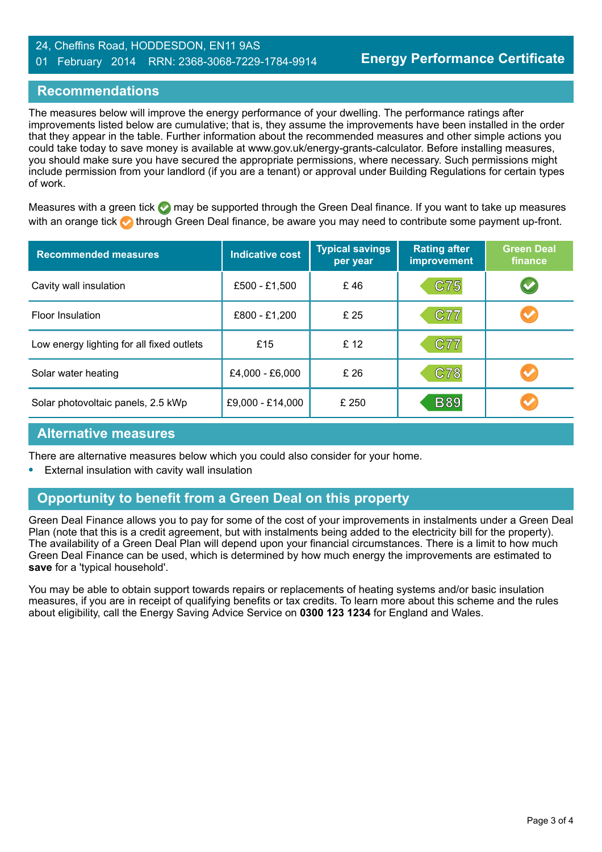#### 24, Cheffins Road, HODDESDON, EN11 9AS 01 February 2014 RRN: 2368-3068-7229-1784-9914

## **Recommendations**

The measures below will improve the energy performance of your dwelling. The performance ratings after improvements listed below are cumulative; that is, they assume the improvements have been installed in the order that they appear in the table. Further information about the recommended measures and other simple actions you could take today to save money is available at www.gov.uk/energy-grants-calculator. Before installing measures, you should make sure you have secured the appropriate permissions, where necessary. Such permissions might include permission from your landlord (if you are a tenant) or approval under Building Regulations for certain types of work.

Measures with a green tick  $\bullet$  may be supported through the Green Deal finance. If you want to take up measures with an orange tick **th** through Green Deal finance, be aware you may need to contribute some payment up-front.

| <b>Recommended measures</b>               | <b>Indicative cost</b> | <b>Typical savings</b><br>per year | <b>Rating after</b><br><b>improvement</b> | <b>Green Deal</b><br>finance |
|-------------------------------------------|------------------------|------------------------------------|-------------------------------------------|------------------------------|
| Cavity wall insulation                    | £500 - £1,500          | £46                                | C75                                       | $\blacktriangledown$         |
| <b>Floor Insulation</b>                   | £800 - £1,200          | £ 25                               | C77                                       |                              |
| Low energy lighting for all fixed outlets | £15                    | £ 12                               | <b>C77</b>                                |                              |
| Solar water heating                       | £4,000 - £6,000        | £ 26                               | C78                                       |                              |
| Solar photovoltaic panels, 2.5 kWp        | £9,000 - £14,000       | £ 250                              | <b>B89</b>                                |                              |

#### **Alternative measures**

There are alternative measures below which you could also consider for your home.

**•** External insulation with cavity wall insulation

## **Opportunity to benefit from a Green Deal on this property**

Green Deal Finance allows you to pay for some of the cost of your improvements in instalments under a Green Deal Plan (note that this is a credit agreement, but with instalments being added to the electricity bill for the property). The availability of a Green Deal Plan will depend upon your financial circumstances. There is a limit to how much Green Deal Finance can be used, which is determined by how much energy the improvements are estimated to **save** for a 'typical household'.

You may be able to obtain support towards repairs or replacements of heating systems and/or basic insulation measures, if you are in receipt of qualifying benefits or tax credits. To learn more about this scheme and the rules about eligibility, call the Energy Saving Advice Service on **0300 123 1234** for England and Wales.